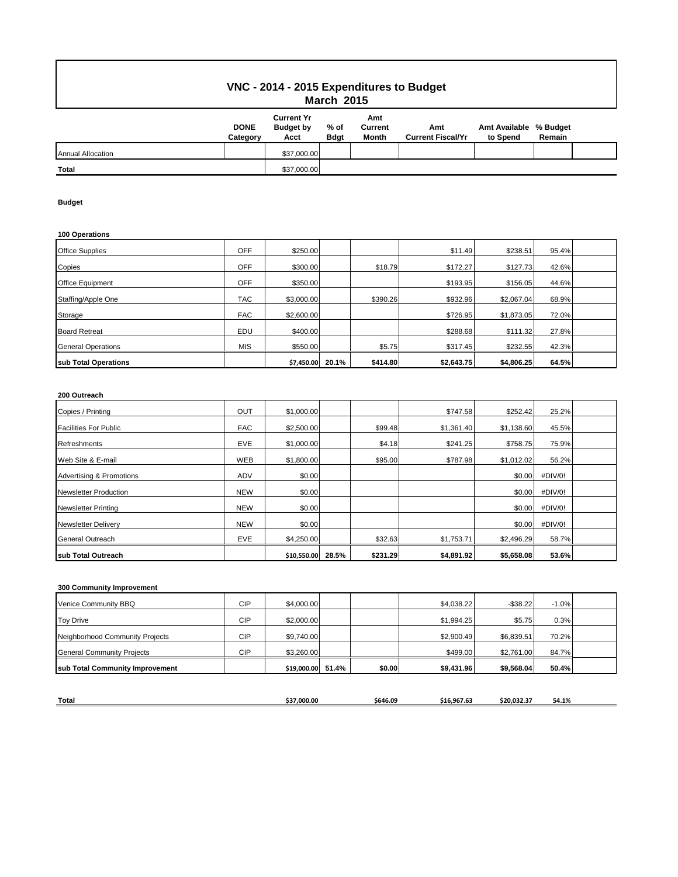## **VNC - 2014 - 2015 Expenditures to Budget March 2015**

|                          | <b>DONE</b><br>Category | <b>Current Yr</b><br><b>Budget by</b><br>Acct | % of<br><b>Bdgt</b> | Amt<br>Current<br><b>Month</b> | Amt<br><b>Current Fiscal/Yr</b> | Amt Available % Budget<br>to Spend | Remain |  |
|--------------------------|-------------------------|-----------------------------------------------|---------------------|--------------------------------|---------------------------------|------------------------------------|--------|--|
| <b>Annual Allocation</b> |                         | \$37,000.00                                   |                     |                                |                                 |                                    |        |  |
| <b>Total</b>             |                         | \$37,000.00                                   |                     |                                |                                 |                                    |        |  |

### **Budget**

#### **100 Operations**

| <b>Office Supplies</b>    | <b>OFF</b> | \$250.00   |       |          | \$11.49    | \$238.51   | 95.4% |  |
|---------------------------|------------|------------|-------|----------|------------|------------|-------|--|
| Copies                    | <b>OFF</b> | \$300.00   |       | \$18.79  | \$172.27   | \$127.73   | 42.6% |  |
| <b>Office Equipment</b>   | <b>OFF</b> | \$350.00   |       |          | \$193.95   | \$156.05   | 44.6% |  |
| Staffing/Apple One        | <b>TAC</b> | \$3,000.00 |       | \$390.26 | \$932.96   | \$2,067.04 | 68.9% |  |
| Storage                   | <b>FAC</b> | \$2,600.00 |       |          | \$726.95   | \$1,873.05 | 72.0% |  |
| <b>Board Retreat</b>      | EDU        | \$400.00   |       |          | \$288.68   | \$111.32   | 27.8% |  |
| <b>General Operations</b> | <b>MIS</b> | \$550.00   |       | \$5.75   | \$317.45   | \$232.55   | 42.3% |  |
| sub Total Operations      |            | \$7,450.00 | 20.1% | \$414.80 | \$2,643.75 | \$4,806.25 | 64.5% |  |

### **200 Outreach**

| Copies / Printing            | OUT        | \$1,000.00  |       |          | \$747.58   | \$252.42   | 25.2%   |  |
|------------------------------|------------|-------------|-------|----------|------------|------------|---------|--|
| <b>Facilities For Public</b> | <b>FAC</b> | \$2,500.00  |       | \$99.48  | \$1,361.40 | \$1,138.60 | 45.5%   |  |
| <b>Refreshments</b>          | <b>EVE</b> | \$1,000.00  |       | \$4.18   | \$241.25   | \$758.75   | 75.9%   |  |
| Web Site & E-mail            | WEB        | \$1,800.00  |       | \$95.00  | \$787.98   | \$1,012.02 | 56.2%   |  |
| Advertising & Promotions     | <b>ADV</b> | \$0.00      |       |          |            | \$0.00     | #DIV/0! |  |
| <b>Newsletter Production</b> | <b>NEW</b> | \$0.00      |       |          |            | \$0.00     | #DIV/0! |  |
| <b>Newsletter Printing</b>   | <b>NEW</b> | \$0.00      |       |          |            | \$0.00     | #DIV/0! |  |
| <b>Newsletter Delivery</b>   | <b>NEW</b> | \$0.00      |       |          |            | \$0.00     | #DIV/0! |  |
| <b>General Outreach</b>      | <b>EVE</b> | \$4,250.00  |       | \$32.63  | \$1,753.71 | \$2,496.29 | 58.7%   |  |
| sub Total Outreach           |            | \$10,550.00 | 28.5% | \$231.29 | \$4,891.92 | \$5,658.08 | 53.6%   |  |

### **300 Community Improvement**

| Venice Community BBQ              | <b>CIP</b> | \$4,000.00        |        | \$4,038.22 | $-$ \$38.22 | $-1.0%$ |  |
|-----------------------------------|------------|-------------------|--------|------------|-------------|---------|--|
| <b>Toy Drive</b>                  | <b>CIP</b> | \$2,000.00        |        | \$1,994.25 | \$5.75      | 0.3%    |  |
| Neighborhood Community Projects   | <b>CIP</b> | \$9,740.00        |        | \$2,900.49 | \$6,839.51  | 70.2%   |  |
| <b>General Community Projects</b> | <b>CIP</b> | \$3,260.00        |        | \$499.00   | \$2,761.00  | 84.7%   |  |
| sub Total Community Improvement   |            | \$19,000.00 51.4% | \$0.00 | \$9,431.96 | \$9,568.04  | 50.4%   |  |
|                                   |            |                   |        |            |             |         |  |

| <b>Total</b> | 37.000.00- | \$646.09 | ----<br>S16.967.6 | ----<br>S20.032.3 | 54.1% |
|--------------|------------|----------|-------------------|-------------------|-------|
|              |            |          |                   |                   |       |